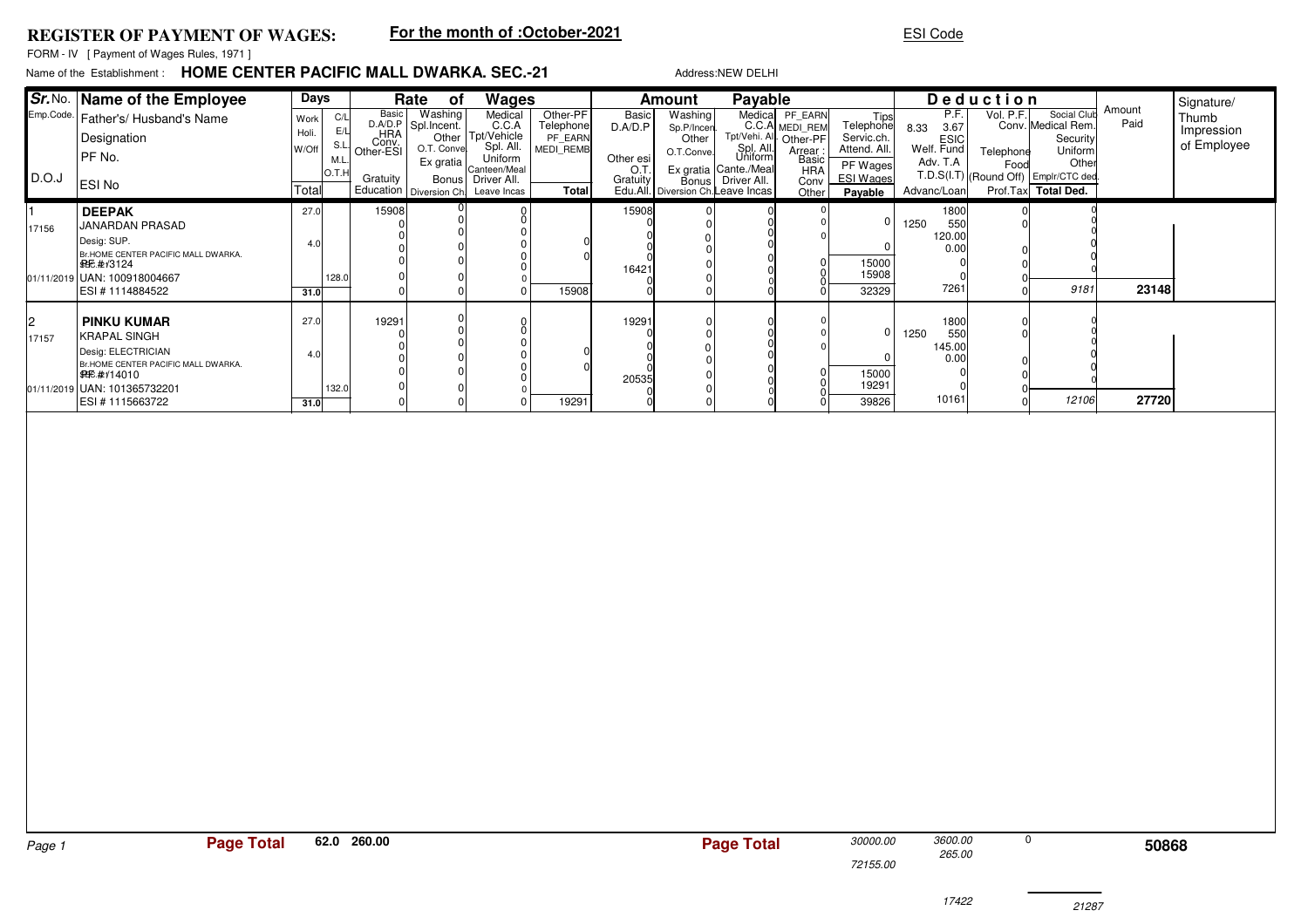## **REGISTER OF PAYMENT OF WAGES:**

## **For the month of :October-2021**

## ESI Code

FORM - IV [ Payment of Wages Rules, 1971 ]

## **HOME CENTER PACIFIC MALL DWARKA. SEC.-21**Name of the Establishment

| Name of the  Establishment:    HOME CENTER PACIFIC MALL DWARKA. SEC.-21.<br>Address:NEW DELHI |                                                                                                                                                                                 |                                          |                                   |                                                |                                                                         |                                                                                                                                                      |                                                        |                                                          |                                                                                                |                                                                                                            |                                                                                         |                                                                                            |                                                                         |                               |                   |                                                                                                                                  |                |                                                  |
|-----------------------------------------------------------------------------------------------|---------------------------------------------------------------------------------------------------------------------------------------------------------------------------------|------------------------------------------|-----------------------------------|------------------------------------------------|-------------------------------------------------------------------------|------------------------------------------------------------------------------------------------------------------------------------------------------|--------------------------------------------------------|----------------------------------------------------------|------------------------------------------------------------------------------------------------|------------------------------------------------------------------------------------------------------------|-----------------------------------------------------------------------------------------|--------------------------------------------------------------------------------------------|-------------------------------------------------------------------------|-------------------------------|-------------------|----------------------------------------------------------------------------------------------------------------------------------|----------------|--------------------------------------------------|
| D.O.J                                                                                         | Sr. No.   Name of the Employee<br>Emp.Code.   Father's/ Husband's Name<br>Designation<br>PF No.<br>ESI No                                                                       | Days<br>Work I<br>Holi<br>W/Off<br>Total | C/L<br>E/L<br>S.L.<br>M.L<br>O.T. | Basic<br>HRA<br>Conv.<br>Other-ESI<br>Gratuity | Rate<br>of<br>Washing<br>D.A/D.P Spl.Incent.<br>O.T. Conve<br>Ex gratia | Wages<br>Medical<br>C.C.A<br>Other Tpt/Vehicle<br>Spl. All.<br>Uniform<br>Canteen/Meal<br>Bonus   Driver All.<br>Education Diversion Ch. Leave Incas | Other-PF<br>Telephone<br>PF EARN<br>MEDI REMB<br>Total | Basic<br>D.A/D.P<br>Other esi<br>O.T.<br><b>Gratuity</b> | Amount<br>Washing<br>Sp.P/Incen.<br>Other<br>O.T.Conve.<br>Edu.All.   Diversion Ch.Leave Incas | Payable<br>Medical<br>Tpt/Vehi. All.<br>Spl. All.<br>Uniform<br>Ex gratia Cante./Meal<br>Bonus Driver All. | PF EARN<br>C.C.A MEDI_REM<br>Other-PF<br>Arrear<br>Basic<br><b>HRA</b><br>Conv<br>Other | Tips<br>Telephone<br>Servic.ch.<br>Attend. All.<br>PF Wages<br><b>ESI Wages</b><br>Payable | P.F.<br>3.67<br>8.33<br> ESIC<br> Welf. Fund<br>Adv. T.A<br>Advanc/Loan | <b>Deduction</b><br>Telephone | Vol. P.F.<br>Food | Social Club<br>Conv. Medical Rem.<br>Security<br>Uniform<br>Other<br>T.D.S(I.T) (Round Off) Emplr/CTC ded<br>Prof.Tax Total Ded. | Amount<br>Paid | Signature/<br>Thumb<br>Impression<br>of Employee |
| 17156                                                                                         | <b>DEEPAK</b><br>JANARDAN PRASAD<br>Desia: SUP.<br>Br.HOME CENTER PACIFIC MALL DWARKA.<br>BBE.#t/3124<br>01/11/2019 UAN: 100918004667<br>ESI#1114884522                         | 27.0<br>4.0<br>31.OI                     | 128.0                             | 15908                                          |                                                                         |                                                                                                                                                      | 15908                                                  | 15908<br>16421                                           |                                                                                                |                                                                                                            |                                                                                         | 15000<br>15908<br>32329                                                                    | 1800<br>1250<br>120.00<br>7261                                          | 550<br>0.00                   |                   | 9181                                                                                                                             | 23148          |                                                  |
| 2<br>17157                                                                                    | <b>PINKU KUMAR</b><br><b>KRAPAL SINGH</b><br>Desig: ELECTRICIAN<br>Br.HOME CENTER PACIFIC MALL DWARKA.<br><b>SHE #/14010</b><br>01/11/2019 UAN: 101365732201<br>IESI#1115663722 | 27.0<br>4 <sub>0</sub><br>31.O           | 132.0                             | 19291                                          |                                                                         |                                                                                                                                                      | 19291                                                  | 19291<br>20535                                           |                                                                                                |                                                                                                            |                                                                                         | 15000<br>19291<br>39826                                                                    | 1800<br>1250<br>145.00<br>0.00<br>10161                                 | 550                           |                   | 12106                                                                                                                            | 27720          |                                                  |

| Page 1 | 62.0 260.00<br><b>Page Total</b> | <b>Page Total</b> | 30000.00 | 3600.00<br>265.00 |       | 50868 |
|--------|----------------------------------|-------------------|----------|-------------------|-------|-------|
|        |                                  |                   | 72155.00 |                   |       |       |
|        |                                  |                   |          | 17422             | 21287 |       |